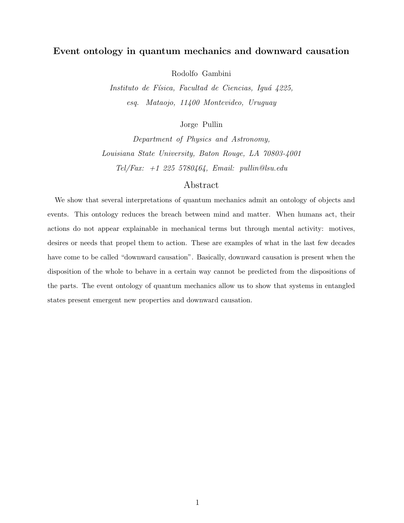# Event ontology in quantum mechanics and downward causation

Rodolfo Gambini

Instituto de Física, Facultad de Ciencias, Iguá 4225, esq. Mataojo, 11400 Montevideo, Uruguay

Jorge Pullin

Department of Physics and Astronomy, Louisiana State University, Baton Rouge, LA 70803-4001  $\label{eq:rel} \begin{split} \textit{Tel}/\textit{Fax:}\;\; +1\;\;225\;\;5780464,\;\; \textit{Email:}\;\; \textit{pullin@lsu.edu} \end{split}$ 

# Abstract

We show that several interpretations of quantum mechanics admit an ontology of objects and events. This ontology reduces the breach between mind and matter. When humans act, their actions do not appear explainable in mechanical terms but through mental activity: motives, desires or needs that propel them to action. These are examples of what in the last few decades have come to be called "downward causation". Basically, downward causation is present when the disposition of the whole to behave in a certain way cannot be predicted from the dispositions of the parts. The event ontology of quantum mechanics allow us to show that systems in entangled states present emergent new properties and downward causation.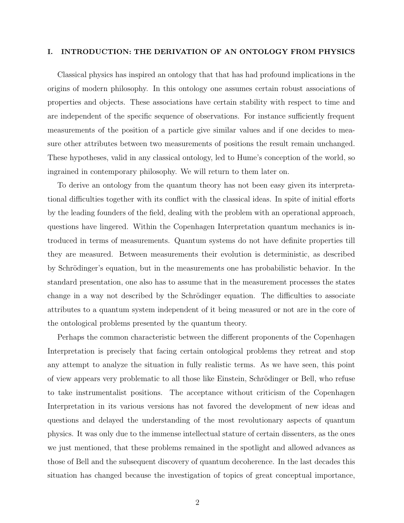#### I. INTRODUCTION: THE DERIVATION OF AN ONTOLOGY FROM PHYSICS

Classical physics has inspired an ontology that that has had profound implications in the origins of modern philosophy. In this ontology one assumes certain robust associations of properties and objects. These associations have certain stability with respect to time and are independent of the specific sequence of observations. For instance sufficiently frequent measurements of the position of a particle give similar values and if one decides to measure other attributes between two measurements of positions the result remain unchanged. These hypotheses, valid in any classical ontology, led to Hume's conception of the world, so ingrained in contemporary philosophy. We will return to them later on.

To derive an ontology from the quantum theory has not been easy given its interpretational difficulties together with its conflict with the classical ideas. In spite of initial efforts by the leading founders of the field, dealing with the problem with an operational approach, questions have lingered. Within the Copenhagen Interpretation quantum mechanics is introduced in terms of measurements. Quantum systems do not have definite properties till they are measured. Between measurements their evolution is deterministic, as described by Schrödinger's equation, but in the measurements one has probabilistic behavior. In the standard presentation, one also has to assume that in the measurement processes the states change in a way not described by the Schrödinger equation. The difficulties to associate attributes to a quantum system independent of it being measured or not are in the core of the ontological problems presented by the quantum theory.

Perhaps the common characteristic between the different proponents of the Copenhagen Interpretation is precisely that facing certain ontological problems they retreat and stop any attempt to analyze the situation in fully realistic terms. As we have seen, this point of view appears very problematic to all those like Einstein, Schrödinger or Bell, who refuse to take instrumentalist positions. The acceptance without criticism of the Copenhagen Interpretation in its various versions has not favored the development of new ideas and questions and delayed the understanding of the most revolutionary aspects of quantum physics. It was only due to the immense intellectual stature of certain dissenters, as the ones we just mentioned, that these problems remained in the spotlight and allowed advances as those of Bell and the subsequent discovery of quantum decoherence. In the last decades this situation has changed because the investigation of topics of great conceptual importance,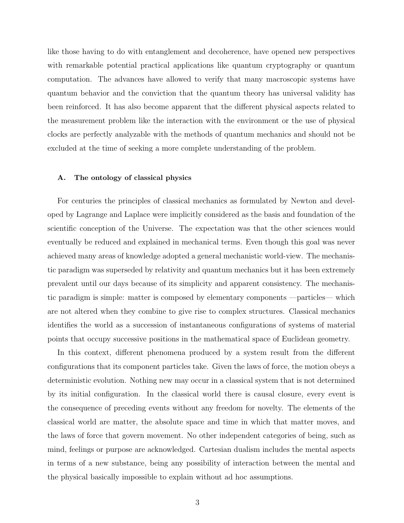like those having to do with entanglement and decoherence, have opened new perspectives with remarkable potential practical applications like quantum cryptography or quantum computation. The advances have allowed to verify that many macroscopic systems have quantum behavior and the conviction that the quantum theory has universal validity has been reinforced. It has also become apparent that the different physical aspects related to the measurement problem like the interaction with the environment or the use of physical clocks are perfectly analyzable with the methods of quantum mechanics and should not be excluded at the time of seeking a more complete understanding of the problem.

## A. The ontology of classical physics

For centuries the principles of classical mechanics as formulated by Newton and developed by Lagrange and Laplace were implicitly considered as the basis and foundation of the scientific conception of the Universe. The expectation was that the other sciences would eventually be reduced and explained in mechanical terms. Even though this goal was never achieved many areas of knowledge adopted a general mechanistic world-view. The mechanistic paradigm was superseded by relativity and quantum mechanics but it has been extremely prevalent until our days because of its simplicity and apparent consistency. The mechanistic paradigm is simple: matter is composed by elementary components —particles— which are not altered when they combine to give rise to complex structures. Classical mechanics identifies the world as a succession of instantaneous configurations of systems of material points that occupy successive positions in the mathematical space of Euclidean geometry.

In this context, different phenomena produced by a system result from the different configurations that its component particles take. Given the laws of force, the motion obeys a deterministic evolution. Nothing new may occur in a classical system that is not determined by its initial configuration. In the classical world there is causal closure, every event is the consequence of preceding events without any freedom for novelty. The elements of the classical world are matter, the absolute space and time in which that matter moves, and the laws of force that govern movement. No other independent categories of being, such as mind, feelings or purpose are acknowledged. Cartesian dualism includes the mental aspects in terms of a new substance, being any possibility of interaction between the mental and the physical basically impossible to explain without ad hoc assumptions.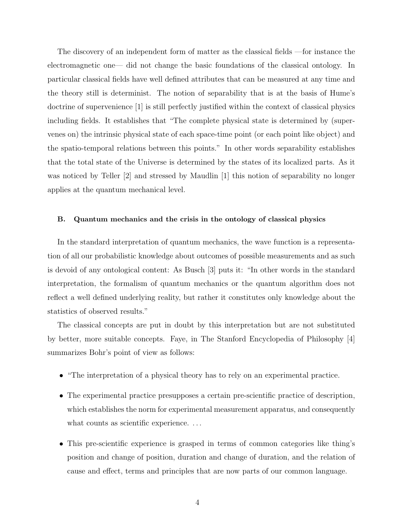The discovery of an independent form of matter as the classical fields —for instance the electromagnetic one— did not change the basic foundations of the classical ontology. In particular classical fields have well defined attributes that can be measured at any time and the theory still is determinist. The notion of separability that is at the basis of Hume's doctrine of supervenience [1] is still perfectly justified within the context of classical physics including fields. It establishes that "The complete physical state is determined by (supervenes on) the intrinsic physical state of each space-time point (or each point like object) and the spatio-temporal relations between this points." In other words separability establishes that the total state of the Universe is determined by the states of its localized parts. As it was noticed by Teller [2] and stressed by Maudlin [1] this notion of separability no longer applies at the quantum mechanical level.

#### B. Quantum mechanics and the crisis in the ontology of classical physics

In the standard interpretation of quantum mechanics, the wave function is a representation of all our probabilistic knowledge about outcomes of possible measurements and as such is devoid of any ontological content: As Busch [3] puts it: "In other words in the standard interpretation, the formalism of quantum mechanics or the quantum algorithm does not reflect a well defined underlying reality, but rather it constitutes only knowledge about the statistics of observed results."

The classical concepts are put in doubt by this interpretation but are not substituted by better, more suitable concepts. Faye, in The Stanford Encyclopedia of Philosophy [4] summarizes Bohr's point of view as follows:

- "The interpretation of a physical theory has to rely on an experimental practice.
- The experimental practice presupposes a certain pre-scientific practice of description, which establishes the norm for experimental measurement apparatus, and consequently what counts as scientific experience...
- This pre-scientific experience is grasped in terms of common categories like thing's position and change of position, duration and change of duration, and the relation of cause and effect, terms and principles that are now parts of our common language.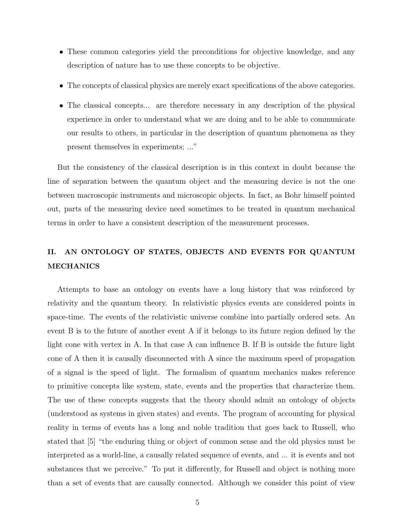- These common categories yield the preconditions for objective knowledge, and any description of nature has to use these concepts to be objective.
- The concepts of classical physics are merely exact specifications of the above categories.
- The classical concepts... are therefore necessary in any description of the physical experience in order to understand what we are doing and to be able to communicate our results to others, in particular in the description of quantum phenomena as they present themselves in experiments; ..."

But the consistency of the classical description is in this context in doubt because the line of separation between the quantum object and the measuring device is not the one between macroscopic instruments and microscopic objects. In fact, as Bohr himself pointed out, parts of the measuring device need sometimes to be treated in quantum mechanical terms in order to have a consistent description of the measurement processes.

# II. AN ONTOLOGY OF STATES, OBJECTS AND EVENTS FOR QUANTUM MECHANICS

Attempts to base an ontology on events have a long history that was reinforced by relativity and the quantum theory. In relativistic physics events are considered points in space-time. The events of the relativistic universe combine into partially ordered sets. An event B is to the future of another event A if it belongs to its future region defined by the light cone with vertex in A. In that case A can influence B. If B is outside the future light cone of A then it is causally disconnected with A since the maximum speed of propagation of a signal is the speed of light. The formalism of quantum mechanics makes reference to primitive concepts like system, state, events and the properties that characterize them. The use of these concepts suggests that the theory should admit an ontology of objects (understood as systems in given states) and events. The program of accounting for physical reality in terms of events has a long and noble tradition that goes back to Russell, who stated that [5] "the enduring thing or object of common sense and the old physics must be interpreted as a world-line, a causally related sequence of events, and ... it is events and not substances that we perceive." To put it differently, for Russell and object is nothing more than a set of events that are causally connected. Although we consider this point of view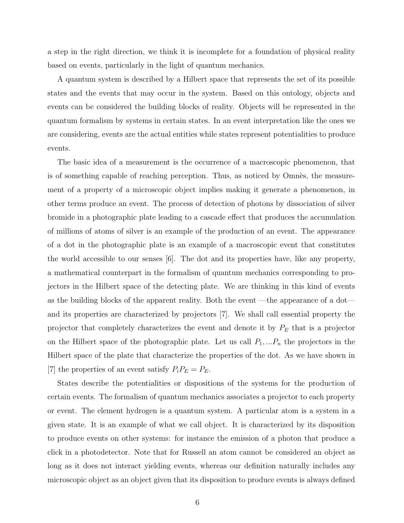a step in the right direction, we think it is incomplete for a foundation of physical reality based on events, particularly in the light of quantum mechanics.

A quantum system is described by a Hilbert space that represents the set of its possible states and the events that may occur in the system. Based on this ontology, objects and events can be considered the building blocks of reality. Objects will be represented in the quantum formalism by systems in certain states. In an event interpretation like the ones we are considering, events are the actual entities while states represent potentialities to produce events.

The basic idea of a measurement is the occurrence of a macroscopic phenomenon, that is of something capable of reaching perception. Thus, as noticed by Omnès, the measurement of a property of a microscopic object implies making it generate a phenomenon, in other terms produce an event. The process of detection of photons by dissociation of silver bromide in a photographic plate leading to a cascade effect that produces the accumulation of millions of atoms of silver is an example of the production of an event. The appearance of a dot in the photographic plate is an example of a macroscopic event that constitutes the world accessible to our senses [6]. The dot and its properties have, like any property, a mathematical counterpart in the formalism of quantum mechanics corresponding to projectors in the Hilbert space of the detecting plate. We are thinking in this kind of events as the building blocks of the apparent reality. Both the event —the appearance of a dot and its properties are characterized by projectors [7]. We shall call essential property the projector that completely characterizes the event and denote it by  $P_E$  that is a projector on the Hilbert space of the photographic plate. Let us call  $P_1, \ldots, P_n$  the projectors in the Hilbert space of the plate that characterize the properties of the dot. As we have shown in [7] the properties of an event satisfy  $P_i P_E = P_E$ .

States describe the potentialities or dispositions of the systems for the production of certain events. The formalism of quantum mechanics associates a projector to each property or event. The element hydrogen is a quantum system. A particular atom is a system in a given state. It is an example of what we call object. It is characterized by its disposition to produce events on other systems: for instance the emission of a photon that produce a click in a photodetector. Note that for Russell an atom cannot be considered an object as long as it does not interact yielding events, whereas our definition naturally includes any microscopic object as an object given that its disposition to produce events is always defined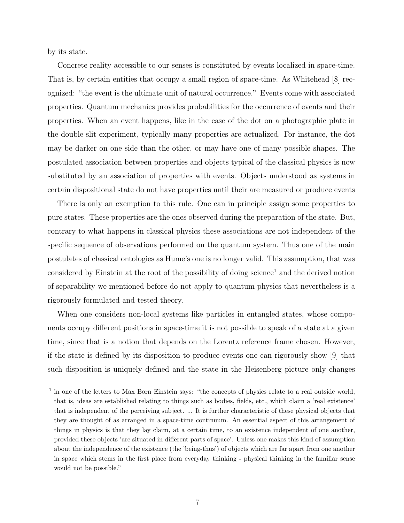by its state.

Concrete reality accessible to our senses is constituted by events localized in space-time. That is, by certain entities that occupy a small region of space-time. As Whitehead [8] recognized: "the event is the ultimate unit of natural occurrence." Events come with associated properties. Quantum mechanics provides probabilities for the occurrence of events and their properties. When an event happens, like in the case of the dot on a photographic plate in the double slit experiment, typically many properties are actualized. For instance, the dot may be darker on one side than the other, or may have one of many possible shapes. The postulated association between properties and objects typical of the classical physics is now substituted by an association of properties with events. Objects understood as systems in certain dispositional state do not have properties until their are measured or produce events

There is only an exemption to this rule. One can in principle assign some properties to pure states. These properties are the ones observed during the preparation of the state. But, contrary to what happens in classical physics these associations are not independent of the specific sequence of observations performed on the quantum system. Thus one of the main postulates of classical ontologies as Hume's one is no longer valid. This assumption, that was considered by Einstein at the root of the possibility of doing science<sup>1</sup> and the derived notion of separability we mentioned before do not apply to quantum physics that nevertheless is a rigorously formulated and tested theory.

When one considers non-local systems like particles in entangled states, whose components occupy different positions in space-time it is not possible to speak of a state at a given time, since that is a notion that depends on the Lorentz reference frame chosen. However, if the state is defined by its disposition to produce events one can rigorously show [9] that such disposition is uniquely defined and the state in the Heisenberg picture only changes

<sup>&</sup>lt;sup>1</sup> in one of the letters to Max Born Einstein says: "the concepts of physics relate to a real outside world, that is, ideas are established relating to things such as bodies, fields, etc., which claim a 'real existence' that is independent of the perceiving subject. ... It is further characteristic of these physical objects that they are thought of as arranged in a space-time continuum. An essential aspect of this arrangement of things in physics is that they lay claim, at a certain time, to an existence independent of one another, provided these objects 'are situated in different parts of space'. Unless one makes this kind of assumption about the independence of the existence (the 'being-thus') of objects which are far apart from one another in space which stems in the first place from everyday thinking - physical thinking in the familiar sense would not be possible."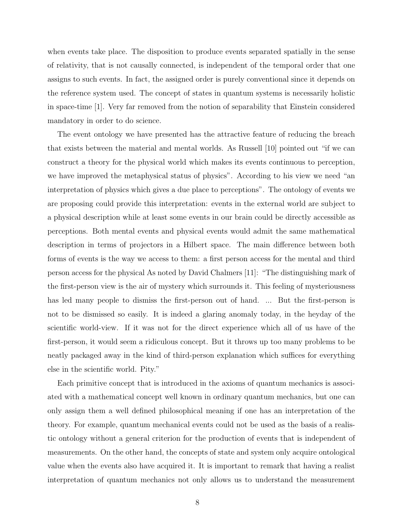when events take place. The disposition to produce events separated spatially in the sense of relativity, that is not causally connected, is independent of the temporal order that one assigns to such events. In fact, the assigned order is purely conventional since it depends on the reference system used. The concept of states in quantum systems is necessarily holistic in space-time [1]. Very far removed from the notion of separability that Einstein considered mandatory in order to do science.

The event ontology we have presented has the attractive feature of reducing the breach that exists between the material and mental worlds. As Russell [10] pointed out "if we can construct a theory for the physical world which makes its events continuous to perception, we have improved the metaphysical status of physics". According to his view we need "an interpretation of physics which gives a due place to perceptions". The ontology of events we are proposing could provide this interpretation: events in the external world are subject to a physical description while at least some events in our brain could be directly accessible as perceptions. Both mental events and physical events would admit the same mathematical description in terms of projectors in a Hilbert space. The main difference between both forms of events is the way we access to them: a first person access for the mental and third person access for the physical As noted by David Chalmers [11]: "The distinguishing mark of the first-person view is the air of mystery which surrounds it. This feeling of mysteriousness has led many people to dismiss the first-person out of hand. ... But the first-person is not to be dismissed so easily. It is indeed a glaring anomaly today, in the heyday of the scientific world-view. If it was not for the direct experience which all of us have of the first-person, it would seem a ridiculous concept. But it throws up too many problems to be neatly packaged away in the kind of third-person explanation which suffices for everything else in the scientific world. Pity."

Each primitive concept that is introduced in the axioms of quantum mechanics is associated with a mathematical concept well known in ordinary quantum mechanics, but one can only assign them a well defined philosophical meaning if one has an interpretation of the theory. For example, quantum mechanical events could not be used as the basis of a realistic ontology without a general criterion for the production of events that is independent of measurements. On the other hand, the concepts of state and system only acquire ontological value when the events also have acquired it. It is important to remark that having a realist interpretation of quantum mechanics not only allows us to understand the measurement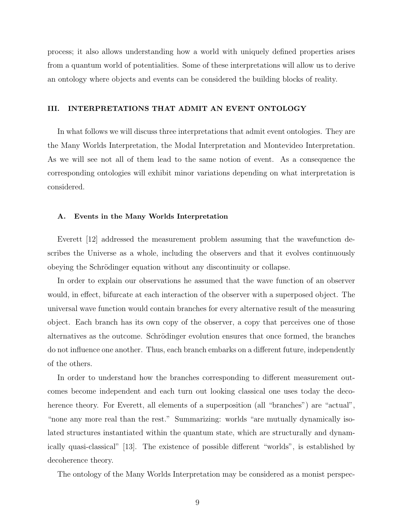process; it also allows understanding how a world with uniquely defined properties arises from a quantum world of potentialities. Some of these interpretations will allow us to derive an ontology where objects and events can be considered the building blocks of reality.

## III. INTERPRETATIONS THAT ADMIT AN EVENT ONTOLOGY

In what follows we will discuss three interpretations that admit event ontologies. They are the Many Worlds Interpretation, the Modal Interpretation and Montevideo Interpretation. As we will see not all of them lead to the same notion of event. As a consequence the corresponding ontologies will exhibit minor variations depending on what interpretation is considered.

#### A. Events in the Many Worlds Interpretation

Everett [12] addressed the measurement problem assuming that the wavefunction describes the Universe as a whole, including the observers and that it evolves continuously obeying the Schrödinger equation without any discontinuity or collapse.

In order to explain our observations he assumed that the wave function of an observer would, in effect, bifurcate at each interaction of the observer with a superposed object. The universal wave function would contain branches for every alternative result of the measuring object. Each branch has its own copy of the observer, a copy that perceives one of those alternatives as the outcome. Schrödinger evolution ensures that once formed, the branches do not influence one another. Thus, each branch embarks on a different future, independently of the others.

In order to understand how the branches corresponding to different measurement outcomes become independent and each turn out looking classical one uses today the decoherence theory. For Everett, all elements of a superposition (all "branches") are "actual", "none any more real than the rest." Summarizing: worlds "are mutually dynamically isolated structures instantiated within the quantum state, which are structurally and dynamically quasi-classical" [13]. The existence of possible different "worlds", is established by decoherence theory.

The ontology of the Many Worlds Interpretation may be considered as a monist perspec-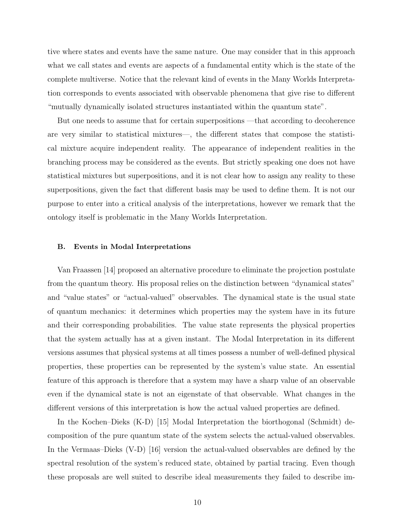tive where states and events have the same nature. One may consider that in this approach what we call states and events are aspects of a fundamental entity which is the state of the complete multiverse. Notice that the relevant kind of events in the Many Worlds Interpretation corresponds to events associated with observable phenomena that give rise to different "mutually dynamically isolated structures instantiated within the quantum state".

But one needs to assume that for certain superpositions —that according to decoherence are very similar to statistical mixtures—, the different states that compose the statistical mixture acquire independent reality. The appearance of independent realities in the branching process may be considered as the events. But strictly speaking one does not have statistical mixtures but superpositions, and it is not clear how to assign any reality to these superpositions, given the fact that different basis may be used to define them. It is not our purpose to enter into a critical analysis of the interpretations, however we remark that the ontology itself is problematic in the Many Worlds Interpretation.

#### B. Events in Modal Interpretations

Van Fraassen [14] proposed an alternative procedure to eliminate the projection postulate from the quantum theory. His proposal relies on the distinction between "dynamical states" and "value states" or "actual-valued" observables. The dynamical state is the usual state of quantum mechanics: it determines which properties may the system have in its future and their corresponding probabilities. The value state represents the physical properties that the system actually has at a given instant. The Modal Interpretation in its different versions assumes that physical systems at all times possess a number of well-defined physical properties, these properties can be represented by the system's value state. An essential feature of this approach is therefore that a system may have a sharp value of an observable even if the dynamical state is not an eigenstate of that observable. What changes in the different versions of this interpretation is how the actual valued properties are defined.

In the Kochen–Dieks (K-D) [15] Modal Interpretation the biorthogonal (Schmidt) decomposition of the pure quantum state of the system selects the actual-valued observables. In the Vermaas–Dieks (V-D) [16] version the actual-valued observables are defined by the spectral resolution of the system's reduced state, obtained by partial tracing. Even though these proposals are well suited to describe ideal measurements they failed to describe im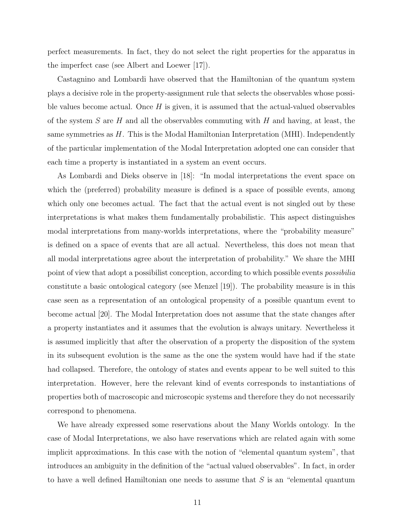perfect measurements. In fact, they do not select the right properties for the apparatus in the imperfect case (see Albert and Loewer [17]).

Castagnino and Lombardi have observed that the Hamiltonian of the quantum system plays a decisive role in the property-assignment rule that selects the observables whose possible values become actual. Once  $H$  is given, it is assumed that the actual-valued observables of the system S are H and all the observables commuting with H and having, at least, the same symmetries as  $H$ . This is the Modal Hamiltonian Interpretation (MHI). Independently of the particular implementation of the Modal Interpretation adopted one can consider that each time a property is instantiated in a system an event occurs.

As Lombardi and Dieks observe in [18]: "In modal interpretations the event space on which the (preferred) probability measure is defined is a space of possible events, among which only one becomes actual. The fact that the actual event is not singled out by these interpretations is what makes them fundamentally probabilistic. This aspect distinguishes modal interpretations from many-worlds interpretations, where the "probability measure" is defined on a space of events that are all actual. Nevertheless, this does not mean that all modal interpretations agree about the interpretation of probability." We share the MHI point of view that adopt a possibilist conception, according to which possible events *possibilia* constitute a basic ontological category (see Menzel [19]). The probability measure is in this case seen as a representation of an ontological propensity of a possible quantum event to become actual [20]. The Modal Interpretation does not assume that the state changes after a property instantiates and it assumes that the evolution is always unitary. Nevertheless it is assumed implicitly that after the observation of a property the disposition of the system in its subsequent evolution is the same as the one the system would have had if the state had collapsed. Therefore, the ontology of states and events appear to be well suited to this interpretation. However, here the relevant kind of events corresponds to instantiations of properties both of macroscopic and microscopic systems and therefore they do not necessarily correspond to phenomena.

We have already expressed some reservations about the Many Worlds ontology. In the case of Modal Interpretations, we also have reservations which are related again with some implicit approximations. In this case with the notion of "elemental quantum system", that introduces an ambiguity in the definition of the "actual valued observables". In fact, in order to have a well defined Hamiltonian one needs to assume that  $S$  is an "elemental quantum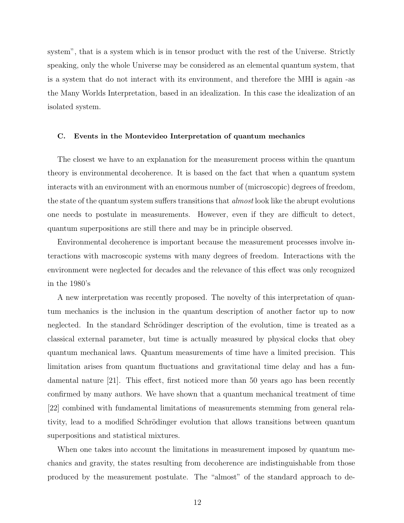system", that is a system which is in tensor product with the rest of the Universe. Strictly speaking, only the whole Universe may be considered as an elemental quantum system, that is a system that do not interact with its environment, and therefore the MHI is again -as the Many Worlds Interpretation, based in an idealization. In this case the idealization of an isolated system.

#### C. Events in the Montevideo Interpretation of quantum mechanics

The closest we have to an explanation for the measurement process within the quantum theory is environmental decoherence. It is based on the fact that when a quantum system interacts with an environment with an enormous number of (microscopic) degrees of freedom, the state of the quantum system suffers transitions that *almost* look like the abrupt evolutions one needs to postulate in measurements. However, even if they are difficult to detect, quantum superpositions are still there and may be in principle observed.

Environmental decoherence is important because the measurement processes involve interactions with macroscopic systems with many degrees of freedom. Interactions with the environment were neglected for decades and the relevance of this effect was only recognized in the 1980's

A new interpretation was recently proposed. The novelty of this interpretation of quantum mechanics is the inclusion in the quantum description of another factor up to now neglected. In the standard Schrödinger description of the evolution, time is treated as a classical external parameter, but time is actually measured by physical clocks that obey quantum mechanical laws. Quantum measurements of time have a limited precision. This limitation arises from quantum fluctuations and gravitational time delay and has a fundamental nature [21]. This effect, first noticed more than 50 years ago has been recently confirmed by many authors. We have shown that a quantum mechanical treatment of time [22] combined with fundamental limitations of measurements stemming from general relativity, lead to a modified Schrödinger evolution that allows transitions between quantum superpositions and statistical mixtures.

When one takes into account the limitations in measurement imposed by quantum mechanics and gravity, the states resulting from decoherence are indistinguishable from those produced by the measurement postulate. The "almost" of the standard approach to de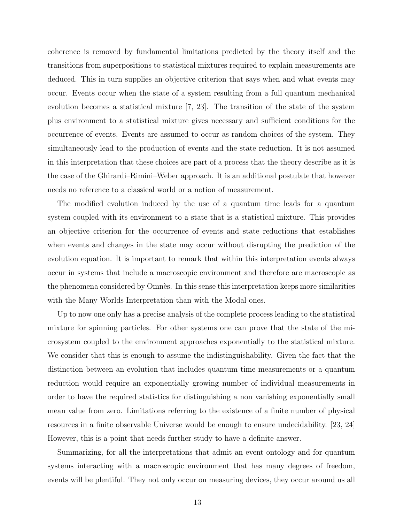coherence is removed by fundamental limitations predicted by the theory itself and the transitions from superpositions to statistical mixtures required to explain measurements are deduced. This in turn supplies an objective criterion that says when and what events may occur. Events occur when the state of a system resulting from a full quantum mechanical evolution becomes a statistical mixture [7, 23]. The transition of the state of the system plus environment to a statistical mixture gives necessary and sufficient conditions for the occurrence of events. Events are assumed to occur as random choices of the system. They simultaneously lead to the production of events and the state reduction. It is not assumed in this interpretation that these choices are part of a process that the theory describe as it is the case of the Ghirardi–Rimini–Weber approach. It is an additional postulate that however needs no reference to a classical world or a notion of measurement.

The modified evolution induced by the use of a quantum time leads for a quantum system coupled with its environment to a state that is a statistical mixture. This provides an objective criterion for the occurrence of events and state reductions that establishes when events and changes in the state may occur without disrupting the prediction of the evolution equation. It is important to remark that within this interpretation events always occur in systems that include a macroscopic environment and therefore are macroscopic as the phenomena considered by Omnès. In this sense this interpretation keeps more similarities with the Many Worlds Interpretation than with the Modal ones.

Up to now one only has a precise analysis of the complete process leading to the statistical mixture for spinning particles. For other systems one can prove that the state of the microsystem coupled to the environment approaches exponentially to the statistical mixture. We consider that this is enough to assume the indistinguishability. Given the fact that the distinction between an evolution that includes quantum time measurements or a quantum reduction would require an exponentially growing number of individual measurements in order to have the required statistics for distinguishing a non vanishing exponentially small mean value from zero. Limitations referring to the existence of a finite number of physical resources in a finite observable Universe would be enough to ensure undecidability. [23, 24] However, this is a point that needs further study to have a definite answer.

Summarizing, for all the interpretations that admit an event ontology and for quantum systems interacting with a macroscopic environment that has many degrees of freedom, events will be plentiful. They not only occur on measuring devices, they occur around us all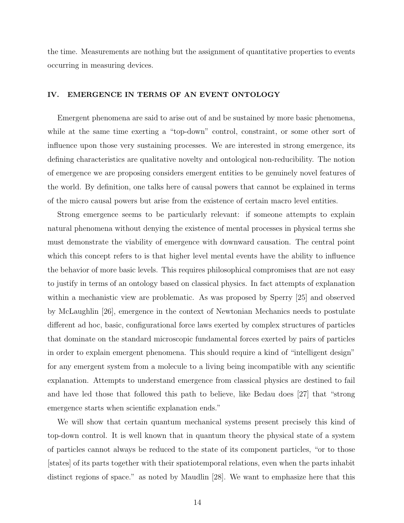the time. Measurements are nothing but the assignment of quantitative properties to events occurring in measuring devices.

# IV. EMERGENCE IN TERMS OF AN EVENT ONTOLOGY

Emergent phenomena are said to arise out of and be sustained by more basic phenomena, while at the same time exerting a "top-down" control, constraint, or some other sort of influence upon those very sustaining processes. We are interested in strong emergence, its defining characteristics are qualitative novelty and ontological non-reducibility. The notion of emergence we are proposing considers emergent entities to be genuinely novel features of the world. By definition, one talks here of causal powers that cannot be explained in terms of the micro causal powers but arise from the existence of certain macro level entities.

Strong emergence seems to be particularly relevant: if someone attempts to explain natural phenomena without denying the existence of mental processes in physical terms she must demonstrate the viability of emergence with downward causation. The central point which this concept refers to is that higher level mental events have the ability to influence the behavior of more basic levels. This requires philosophical compromises that are not easy to justify in terms of an ontology based on classical physics. In fact attempts of explanation within a mechanistic view are problematic. As was proposed by Sperry [25] and observed by McLaughlin [26], emergence in the context of Newtonian Mechanics needs to postulate different ad hoc, basic, configurational force laws exerted by complex structures of particles that dominate on the standard microscopic fundamental forces exerted by pairs of particles in order to explain emergent phenomena. This should require a kind of "intelligent design" for any emergent system from a molecule to a living being incompatible with any scientific explanation. Attempts to understand emergence from classical physics are destined to fail and have led those that followed this path to believe, like Bedau does [27] that "strong emergence starts when scientific explanation ends."

We will show that certain quantum mechanical systems present precisely this kind of top-down control. It is well known that in quantum theory the physical state of a system of particles cannot always be reduced to the state of its component particles, "or to those [states] of its parts together with their spatiotemporal relations, even when the parts inhabit distinct regions of space." as noted by Maudlin [28]. We want to emphasize here that this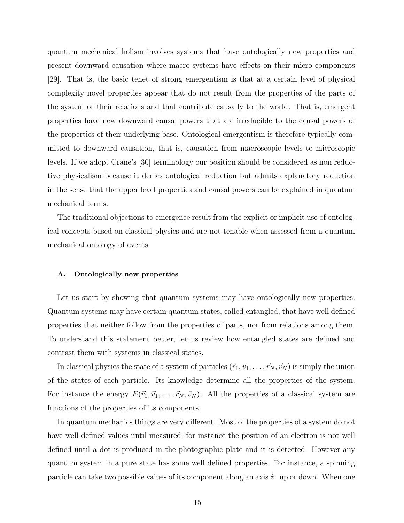quantum mechanical holism involves systems that have ontologically new properties and present downward causation where macro-systems have effects on their micro components [29]. That is, the basic tenet of strong emergentism is that at a certain level of physical complexity novel properties appear that do not result from the properties of the parts of the system or their relations and that contribute causally to the world. That is, emergent properties have new downward causal powers that are irreducible to the causal powers of the properties of their underlying base. Ontological emergentism is therefore typically committed to downward causation, that is, causation from macroscopic levels to microscopic levels. If we adopt Crane's [30] terminology our position should be considered as non reductive physicalism because it denies ontological reduction but admits explanatory reduction in the sense that the upper level properties and causal powers can be explained in quantum mechanical terms.

The traditional objections to emergence result from the explicit or implicit use of ontological concepts based on classical physics and are not tenable when assessed from a quantum mechanical ontology of events.

#### A. Ontologically new properties

Let us start by showing that quantum systems may have ontologically new properties. Quantum systems may have certain quantum states, called entangled, that have well defined properties that neither follow from the properties of parts, nor from relations among them. To understand this statement better, let us review how entangled states are defined and contrast them with systems in classical states.

In classical physics the state of a system of particles  $(\vec{r}_1, \vec{v}_1, \dots, \vec{r}_N, \vec{v}_N)$  is simply the union of the states of each particle. Its knowledge determine all the properties of the system. For instance the energy  $E(\vec{r}_1, \vec{v}_1, \dots, \vec{r}_N, \vec{v}_N)$ . All the properties of a classical system are functions of the properties of its components.

In quantum mechanics things are very different. Most of the properties of a system do not have well defined values until measured; for instance the position of an electron is not well defined until a dot is produced in the photographic plate and it is detected. However any quantum system in a pure state has some well defined properties. For instance, a spinning particle can take two possible values of its component along an axis  $\hat{z}$ : up or down. When one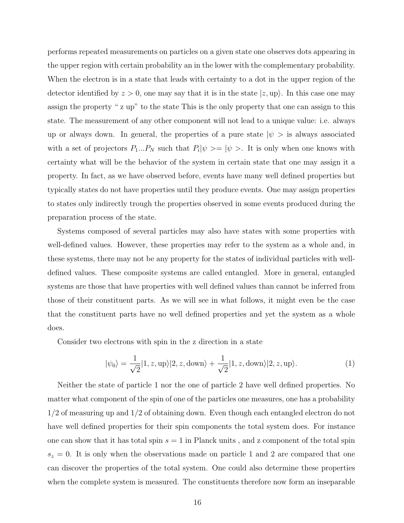performs repeated measurements on particles on a given state one observes dots appearing in the upper region with certain probability an in the lower with the complementary probability. When the electron is in a state that leads with certainty to a dot in the upper region of the detector identified by  $z > 0$ , one may say that it is in the state  $|z, \text{up}\rangle$ . In this case one may assign the property " z up" to the state This is the only property that one can assign to this state. The measurement of any other component will not lead to a unique value: i.e. always up or always down. In general, the properties of a pure state  $|\psi\rangle$  is always associated with a set of projectors  $P_1...P_N$  such that  $P_i|\psi\rangle = |\psi\rangle$ . It is only when one knows with certainty what will be the behavior of the system in certain state that one may assign it a property. In fact, as we have observed before, events have many well defined properties but typically states do not have properties until they produce events. One may assign properties to states only indirectly trough the properties observed in some events produced during the preparation process of the state.

Systems composed of several particles may also have states with some properties with well-defined values. However, these properties may refer to the system as a whole and, in these systems, there may not be any property for the states of individual particles with welldefined values. These composite systems are called entangled. More in general, entangled systems are those that have properties with well defined values than cannot be inferred from those of their constituent parts. As we will see in what follows, it might even be the case that the constituent parts have no well defined properties and yet the system as a whole does.

Consider two electrons with spin in the z direction in a state

$$
|\psi_0\rangle = \frac{1}{\sqrt{2}} |1, z, \text{up}\rangle |2, z, \text{down}\rangle + \frac{1}{\sqrt{2}} |1, z, \text{down}\rangle |2, z, \text{up}\rangle. \tag{1}
$$

Neither the state of particle 1 nor the one of particle 2 have well defined properties. No matter what component of the spin of one of the particles one measures, one has a probability 1/2 of measuring up and 1/2 of obtaining down. Even though each entangled electron do not have well defined properties for their spin components the total system does. For instance one can show that it has total spin  $s = 1$  in Planck units, and z component of the total spin  $s_z = 0$ . It is only when the observations made on particle 1 and 2 are compared that one can discover the properties of the total system. One could also determine these properties when the complete system is measured. The constituents therefore now form an inseparable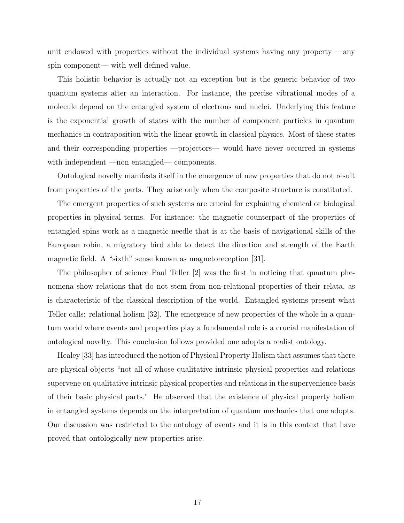unit endowed with properties without the individual systems having any property —any spin component— with well defined value.

This holistic behavior is actually not an exception but is the generic behavior of two quantum systems after an interaction. For instance, the precise vibrational modes of a molecule depend on the entangled system of electrons and nuclei. Underlying this feature is the exponential growth of states with the number of component particles in quantum mechanics in contraposition with the linear growth in classical physics. Most of these states and their corresponding properties —projectors— would have never occurred in systems with independent —non entangled— components.

Ontological novelty manifests itself in the emergence of new properties that do not result from properties of the parts. They arise only when the composite structure is constituted.

The emergent properties of such systems are crucial for explaining chemical or biological properties in physical terms. For instance: the magnetic counterpart of the properties of entangled spins work as a magnetic needle that is at the basis of navigational skills of the European robin, a migratory bird able to detect the direction and strength of the Earth magnetic field. A "sixth" sense known as magnetoreception [31].

The philosopher of science Paul Teller [2] was the first in noticing that quantum phenomena show relations that do not stem from non-relational properties of their relata, as is characteristic of the classical description of the world. Entangled systems present what Teller calls: relational holism [32]. The emergence of new properties of the whole in a quantum world where events and properties play a fundamental role is a crucial manifestation of ontological novelty. This conclusion follows provided one adopts a realist ontology.

Healey [33] has introduced the notion of Physical Property Holism that assumes that there are physical objects "not all of whose qualitative intrinsic physical properties and relations supervene on qualitative intrinsic physical properties and relations in the supervenience basis of their basic physical parts." He observed that the existence of physical property holism in entangled systems depends on the interpretation of quantum mechanics that one adopts. Our discussion was restricted to the ontology of events and it is in this context that have proved that ontologically new properties arise.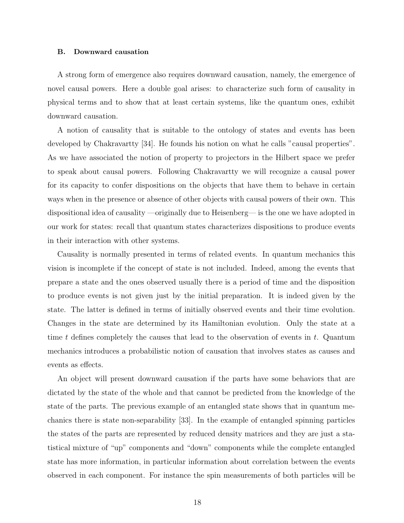#### B. Downward causation

A strong form of emergence also requires downward causation, namely, the emergence of novel causal powers. Here a double goal arises: to characterize such form of causality in physical terms and to show that at least certain systems, like the quantum ones, exhibit downward causation.

A notion of causality that is suitable to the ontology of states and events has been developed by Chakravartty [34]. He founds his notion on what he calls "causal properties". As we have associated the notion of property to projectors in the Hilbert space we prefer to speak about causal powers. Following Chakravartty we will recognize a causal power for its capacity to confer dispositions on the objects that have them to behave in certain ways when in the presence or absence of other objects with causal powers of their own. This dispositional idea of causality —originally due to Heisenberg— is the one we have adopted in our work for states: recall that quantum states characterizes dispositions to produce events in their interaction with other systems.

Causality is normally presented in terms of related events. In quantum mechanics this vision is incomplete if the concept of state is not included. Indeed, among the events that prepare a state and the ones observed usually there is a period of time and the disposition to produce events is not given just by the initial preparation. It is indeed given by the state. The latter is defined in terms of initially observed events and their time evolution. Changes in the state are determined by its Hamiltonian evolution. Only the state at a time t defines completely the causes that lead to the observation of events in  $t$ . Quantum mechanics introduces a probabilistic notion of causation that involves states as causes and events as effects.

An object will present downward causation if the parts have some behaviors that are dictated by the state of the whole and that cannot be predicted from the knowledge of the state of the parts. The previous example of an entangled state shows that in quantum mechanics there is state non-separability [33]. In the example of entangled spinning particles the states of the parts are represented by reduced density matrices and they are just a statistical mixture of "up" components and "down" components while the complete entangled state has more information, in particular information about correlation between the events observed in each component. For instance the spin measurements of both particles will be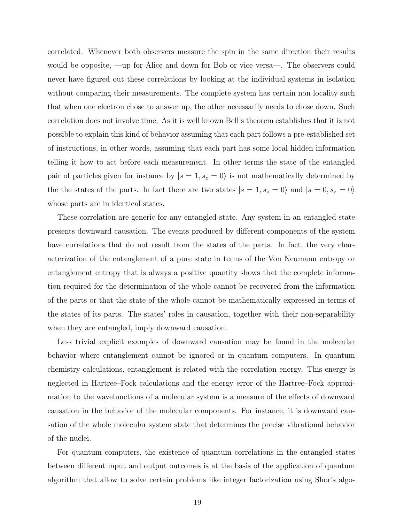correlated. Whenever both observers measure the spin in the same direction their results would be opposite, —up for Alice and down for Bob or vice versa—. The observers could never have figured out these correlations by looking at the individual systems in isolation without comparing their measurements. The complete system has certain non locality such that when one electron chose to answer up, the other necessarily needs to chose down. Such correlation does not involve time. As it is well known Bell's theorem establishes that it is not possible to explain this kind of behavior assuming that each part follows a pre-established set of instructions, in other words, assuming that each part has some local hidden information telling it how to act before each measurement. In other terms the state of the entangled pair of particles given for instance by  $|s = 1, s_z = 0\rangle$  is not mathematically determined by the states of the parts. In fact there are two states  $|s = 1, s_z = 0\rangle$  and  $|s = 0, s_z = 0\rangle$ whose parts are in identical states.

These correlation are generic for any entangled state. Any system in an entangled state presents downward causation. The events produced by different components of the system have correlations that do not result from the states of the parts. In fact, the very characterization of the entanglement of a pure state in terms of the Von Neumann entropy or entanglement entropy that is always a positive quantity shows that the complete information required for the determination of the whole cannot be recovered from the information of the parts or that the state of the whole cannot be mathematically expressed in terms of the states of its parts. The states' roles in causation, together with their non-separability when they are entangled, imply downward causation.

Less trivial explicit examples of downward causation may be found in the molecular behavior where entanglement cannot be ignored or in quantum computers. In quantum chemistry calculations, entanglement is related with the correlation energy. This energy is neglected in Hartree–Fock calculations and the energy error of the Hartree–Fock approximation to the wavefunctions of a molecular system is a measure of the effects of downward causation in the behavior of the molecular components. For instance, it is downward causation of the whole molecular system state that determines the precise vibrational behavior of the nuclei.

For quantum computers, the existence of quantum correlations in the entangled states between different input and output outcomes is at the basis of the application of quantum algorithm that allow to solve certain problems like integer factorization using Shor's algo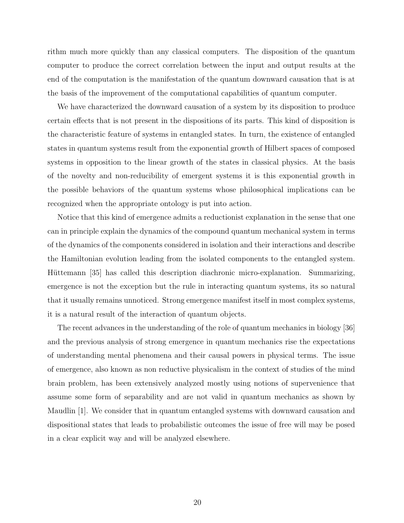rithm much more quickly than any classical computers. The disposition of the quantum computer to produce the correct correlation between the input and output results at the end of the computation is the manifestation of the quantum downward causation that is at the basis of the improvement of the computational capabilities of quantum computer.

We have characterized the downward causation of a system by its disposition to produce certain effects that is not present in the dispositions of its parts. This kind of disposition is the characteristic feature of systems in entangled states. In turn, the existence of entangled states in quantum systems result from the exponential growth of Hilbert spaces of composed systems in opposition to the linear growth of the states in classical physics. At the basis of the novelty and non-reducibility of emergent systems it is this exponential growth in the possible behaviors of the quantum systems whose philosophical implications can be recognized when the appropriate ontology is put into action.

Notice that this kind of emergence admits a reductionist explanation in the sense that one can in principle explain the dynamics of the compound quantum mechanical system in terms of the dynamics of the components considered in isolation and their interactions and describe the Hamiltonian evolution leading from the isolated components to the entangled system. Hüttemann [35] has called this description diachronic micro-explanation. Summarizing, emergence is not the exception but the rule in interacting quantum systems, its so natural that it usually remains unnoticed. Strong emergence manifest itself in most complex systems, it is a natural result of the interaction of quantum objects.

The recent advances in the understanding of the role of quantum mechanics in biology [36] and the previous analysis of strong emergence in quantum mechanics rise the expectations of understanding mental phenomena and their causal powers in physical terms. The issue of emergence, also known as non reductive physicalism in the context of studies of the mind brain problem, has been extensively analyzed mostly using notions of supervenience that assume some form of separability and are not valid in quantum mechanics as shown by Maudlin [1]. We consider that in quantum entangled systems with downward causation and dispositional states that leads to probabilistic outcomes the issue of free will may be posed in a clear explicit way and will be analyzed elsewhere.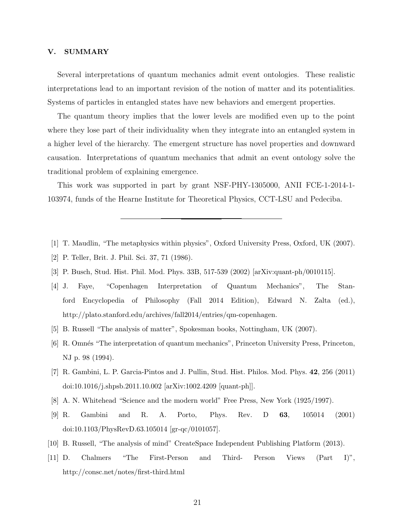### V. SUMMARY

Several interpretations of quantum mechanics admit event ontologies. These realistic interpretations lead to an important revision of the notion of matter and its potentialities. Systems of particles in entangled states have new behaviors and emergent properties.

The quantum theory implies that the lower levels are modified even up to the point where they lose part of their individuality when they integrate into an entangled system in a higher level of the hierarchy. The emergent structure has novel properties and downward causation. Interpretations of quantum mechanics that admit an event ontology solve the traditional problem of explaining emergence.

This work was supported in part by grant NSF-PHY-1305000, ANII FCE-1-2014-1- 103974, funds of the Hearne Institute for Theoretical Physics, CCT-LSU and Pedeciba.

- [1] T. Maudlin, "The metaphysics within physics", Oxford University Press, Oxford, UK (2007).
- [2] P. Teller, Brit. J. Phil. Sci. 37, 71 (1986).
- [3] P. Busch, Stud. Hist. Phil. Mod. Phys. 33B, 517-539 (2002) [arXiv:quant-ph/0010115].
- [4] J. Faye, "Copenhagen Interpretation of Quantum Mechanics", The Stanford Encyclopedia of Philosophy (Fall 2014 Edition), Edward N. Zalta (ed.), http://plato.stanford.edu/archives/fall2014/entries/qm-copenhagen.
- [5] B. Russell "The analysis of matter", Spokesman books, Nottingham, UK (2007).
- [6] R. Omnés "The interpretation of quantum mechanics", Princeton University Press, Princeton, NJ p. 98 (1994).
- [7] R. Gambini, L. P. Garcia-Pintos and J. Pullin, Stud. Hist. Philos. Mod. Phys. 42, 256 (2011) doi:10.1016/j.shpsb.2011.10.002 [arXiv:1002.4209 [quant-ph]].
- [8] A. N. Whitehead "Science and the modern world" Free Press, New York (1925/1997).
- [9] R. Gambini and R. A. Porto, Phys. Rev. D 63, 105014 (2001) doi:10.1103/PhysRevD.63.105014 [gr-qc/0101057].
- [10] B. Russell, "The analysis of mind" CreateSpace Independent Publishing Platform (2013).
- [11] D. Chalmers "The First-Person and Third- Person Views (Part I)", http://consc.net/notes/first-third.html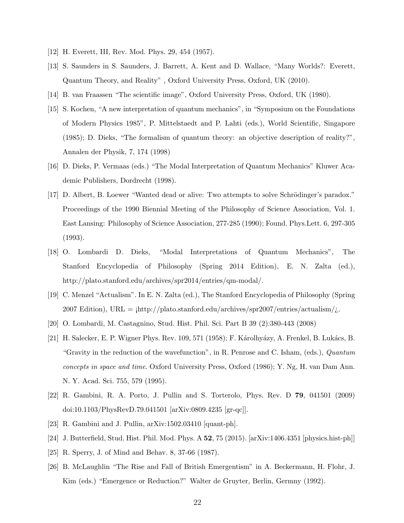- [12] H. Everett, III, Rev. Mod. Phys. 29, 454 (1957).
- [13] S. Saunders in S. Saunders, J. Barrett, A. Kent and D. Wallace, "Many Worlds?: Everett, Quantum Theory, and Reality" , Oxford University Press, Oxford, UK (2010).
- [14] B. van Fraassen "The scientific image", Oxford University Press, Oxford, UK (1980).
- [15] S. Kochen, "A new interpretation of quantum mechanics", in "Symposium on the Foundations of Modern Physics 1985", P. Mittelstaedt and P. Lahti (eds.), World Scientific, Singapore (1985); D. Dieks, "The formalism of quantum theory: an objective description of reality?", Annalen der Physik, 7, 174 (1998)
- [16] D. Dieks, P. Vermaas (eds.) "The Modal Interpretation of Quantum Mechanics" Kluwer Academic Publishers, Dordrecht (1998).
- [17] D. Albert, B. Loewer "Wanted dead or alive: Two attempts to solve Schrödinger's paradox." Proceedings of the 1990 Biennial Meeting of the Philosophy of Science Association, Vol. 1. East Lansing: Philosophy of Science Association, 277-285 (1990); Found. Phys.Lett. 6, 297-305 (1993).
- [18] O. Lombardi D. Dieks, "Modal Interpretations of Quantum Mechanics", The Stanford Encyclopedia of Philosophy (Spring 2014 Edition), E. N. Zalta (ed.), http://plato.stanford.edu/archives/spr2014/entries/qm-modal/.
- [19] C. Menzel "Actualism". In E. N. Zalta (ed.), The Stanford Encyclopedia of Philosophy (Spring 2007 Edition), URL =  $\frac{1}{1}$ http://plato.stanford.edu/archives/spr2007/entries/actualism/ $i$ .
- [20] O. Lombardi, M. Castagnino, Stud. Hist. Phil. Sci. Part B 39 (2):380-443 (2008)
- [21] H. Salecker, E. P. Wigner Phys. Rev. 109, 571 (1958); F. Károlhyázy, A. Frenkel, B. Lukács, B. "Gravity in the reduction of the wavefunction", in R. Penrose and C. Isham, (eds.), Quantum concepts in space and time. Oxford University Press, Oxford (1986); Y. Ng, H. van Dam Ann. N. Y. Acad. Sci. 755, 579 (1995).
- [22] R. Gambini, R. A. Porto, J. Pullin and S. Torterolo, Phys. Rev. D 79, 041501 (2009) doi:10.1103/PhysRevD.79.041501 [arXiv:0809.4235 [gr-qc]].
- [23] R. Gambini and J. Pullin, arXiv:1502.03410 [quant-ph].
- [24] J. Butterfield, Stud. Hist. Phil. Mod. Phys. A 52, 75 (2015). [arXiv:1406.4351 [physics.hist-ph]]
- [25] R. Sperry, J. of Mind and Behav. 8, 37-66 (1987).
- [26] B. McLaughlin "The Rise and Fall of British Emergentism" in A. Beckermann, H. Flohr, J. Kim (eds.) "Emergence or Reduction?" Walter de Gruyter, Berlin, Germny (1992).